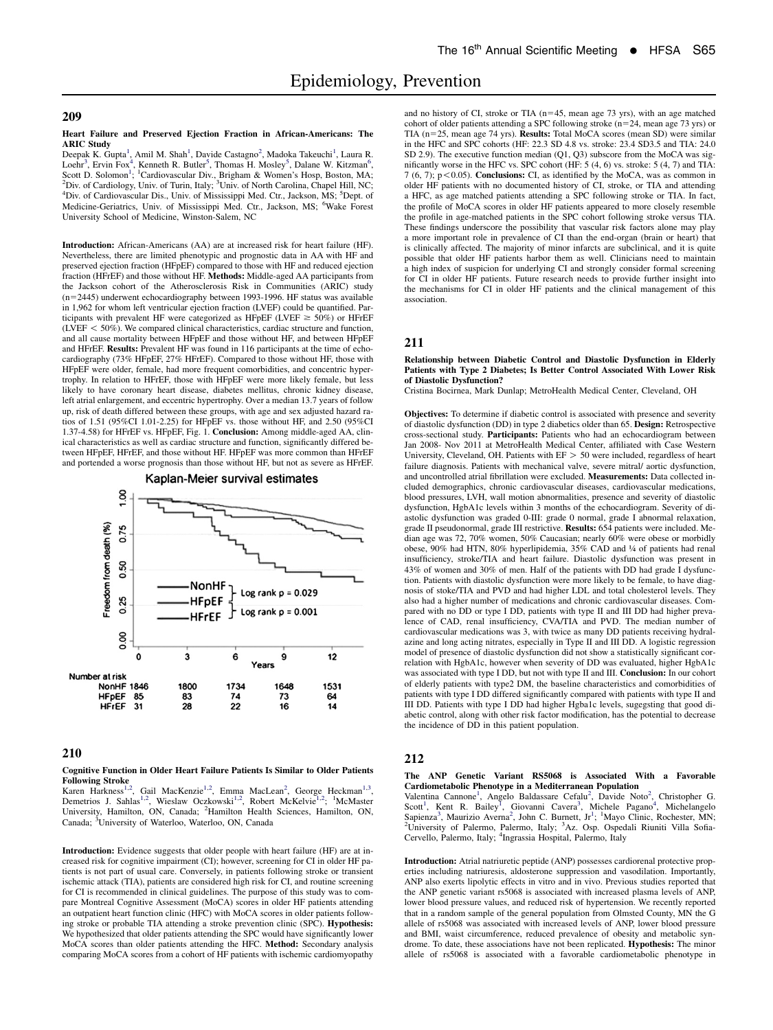### 209

### Heart Failure and Preserved Ejection Fraction in African-Americans: The ARIC Study

Deepak K. Gupta<sup>1</sup>, Amil M. Shah<sup>1</sup>, Davide Castagno<sup>2</sup>, Madoka Takeuchi<sup>1</sup>, Laura R. Loehr<sup>3</sup>, Ervin Fox<sup>4</sup>, Kenneth R. Butler<sup>5</sup>, Thomas H. Mosley<sup>5</sup>, Dalane W. Kitzman<sup>6</sup>, Soott D. Solomon<sup>1</sup>; <sup>1</sup>Cardiovascular Div., Br <sup>2</sup> Div. of Cardiology, Univ. of Turin, Italy; <sup>3</sup> Univ. of North Carolina, Chapel Hill, NC;  $\frac{4 \text{Div}}{2}$  of Cardiovascular Dis. Univ. of Mississippi Med. Ctr. Jackson, MS<sup>, 5</sup> Dept. of Div. of Cardiovascular Dis., Univ. of Mississippi Med. Ctr., Jackson, MS; <sup>5</sup>Dept. of Medicine-Geriatrics, Univ. of Mississippi Med. Ctr., Jackson, MS; <sup>6</sup>Wake Forest University School of Medicine, Winston-Salem, NC

Introduction: African-Americans (AA) are at increased risk for heart failure (HF). Nevertheless, there are limited phenotypic and prognostic data in AA with HF and preserved ejection fraction (HFpEF) compared to those with HF and reduced ejection<br>fraction (HFrEF) and those without HF. **Methods:** Middle-aged AA participants from the Jackson cohort of the Atherosclerosis Risk in Communities (ARIC) study (n52445) underwent echocardiography between 1993-1996. HF status was available in 1,962 for whom left ventricular ejection fraction (LVEF) could be quantified. Participants with prevalent HF were categorized as HFpEF (LVEF  $\geq$  50%) or HFrEF (LVEF  $<$  50%). We compared clinical characteristics, cardiac structure and function, and all cause mortality between HFpEF and those without HF, and between HFpEF and HFrEF. Results: Prevalent HF was found in 116 participants at the time of echocardiography (73% HFpEF, 27% HFrEF). Compared to those without HF, those with HFpEF were older, female, had more frequent comorbidities, and concentric hypertrophy. In relation to HFrEF, those with HFpEF were more likely female, but less likely to have coronary heart disease, diabetes mellitus, chronic kidney disease, left atrial enlargement, and eccentric hypertrophy. Over a median 13.7 years of follow up, risk of death differed between these groups, with age and sex adjusted hazard ratios of 1.51 (95%CI 1.01-2.25) for HFpEF vs. those without HF, and 2.50 (95%CI 1.37-4.58) for HFrEF vs. HFpEF, Fig. 1. Conclusion: Among middle-aged AA, clinical characteristics as well as cardiac structure and function, significantly differed between HFpEF, HFrEF, and those without HF. HFpEF was more common than HFrEF and portended a worse prognosis than those without HF, but not as severe as HFrEF.



## 210

Cognitive Function in Older Heart Failure Patients Is Similar to Older Patients

Following Stroke<br>Karen Harkness<sup>1,2</sup>, Gail MacKenzie<sup>1,2</sup>, Emma MacLean<sup>2</sup>, George Heckman<sup>1,3</sup>,<br>Demetrios J. Sahlas<sup>1,2</sup>, Wieslaw Oczkowski<sup>1,2</sup>, Robert McKelvie<sup>1,2</sup>; <sup>1</sup>McMaster University, Hamilton, ON, Canada; <sup>2</sup>Hamilton Health Sciences, Hamilton, ON, Canada; <sup>3</sup>University of Waterloo, Waterloo, ON, Canada

Introduction: Evidence suggests that older people with heart failure (HF) are at increased risk for cognitive impairment (CI); however, screening for CI in older HF patients is not part of usual care. Conversely, in patients following stroke or transient ischemic attack (TIA), patients are considered high risk for CI, and routine screening for CI is recommended in clinical guidelines. The purpose of this study was to compare Montreal Cognitive Assessment (MoCA) scores in older HF patients attending an outpatient heart function clinic (HFC) with MoCA scores in older patients following stroke or probable TIA attending a stroke prevention clinic (SPC). Hypothesis: We hypothesized that older patients attending the SPC would have significantly lower MoCA scores than older patients attending the HFC. Method: Secondary analysis comparing MoCA scores from a cohort of HF patients with ischemic cardiomyopathy

and no history of CI, stroke or TIA ( $n=45$ , mean age 73 yrs), with an age matched cohort of older patients attending a SPC following stroke ( $n=24$ , mean age 73 yrs) or TIA (n=25, mean age 74 yrs). Results: Total MoCA scores (mean SD) were similar in the HFC and SPC cohorts (HF: 22.3 SD 4.8 vs. stroke: 23.4 SD3.5 and TIA: 24.0 SD 2.9). The executive function median (Q1, Q3) subscore from the MoCA was significantly worse in the HFC vs. SPC cohort (HF: 5 (4, 6) vs. stroke: 5 (4, 7) and TIA: 7 (6, 7);  $p < 0.05$ ). Conclusions: CI, as identified by the MoCA, was as common in older HF patients with no documented history of CI, stroke, or TIA and attending a HFC, as age matched patients attending a SPC following stroke or TIA. In fact, the profile of MoCA scores in older HF patients appeared to more closely resemble the profile in age-matched patients in the SPC cohort following stroke versus TIA. These findings underscore the possibility that vascular risk factors alone may play a more important role in prevalence of CI than the end-organ (brain or heart) that is clinically affected. The majority of minor infarcts are subclinical, and it is quite possible that older HF patients harbor them as well. Clinicians need to maintain a high index of suspicion for underlying CI and strongly consider formal screening for CI in older HF patients. Future research needs to provide further insight into the mechanisms for CI in older HF patients and the clinical management of this association.

# 211

Relationship between Diabetic Control and Diastolic Dysfunction in Elderly Patients with Type 2 Diabetes; Is Better Control Associated With Lower Risk of Diastolic Dysfunction?

Cristina Bocirnea, Mark Dunlap; MetroHealth Medical Center, Cleveland, OH

Objectives: To determine if diabetic control is associated with presence and severity of diastolic dysfunction (DD) in type 2 diabetics older than 65. Design: Retrospective cross-sectional study. Participants: Patients who had an echocardiogram between Jan 2008- Nov 2011 at MetroHealth Medical Center, affiliated with Case Western University, Cleveland, OH. Patients with  $EF > 50$  were included, regardless of heart failure diagnosis. Patients with mechanical valve, severe mitral/ aortic dysfunction, and uncontrolled atrial fibrillation were excluded. Measurements: Data collected included demographics, chronic cardiovascular diseases, cardiovascular medications, blood pressures, LVH, wall motion abnormalities, presence and severity of diastolic dysfunction, HgbA1c levels within 3 months of the echocardiogram. Severity of diastolic dysfunction was graded 0-III: grade 0 normal, grade I abnormal relaxation, grade II pseudonormal, grade III restrictive. Results: 654 patients were included. Median age was 72, 70% women, 50% Caucasian; nearly 60% were obese or morbidly obese, 90% had HTN, 80% hyperlipidemia, 35% CAD and ¼ of patients had renal insufficiency, stroke/TIA and heart failure. Diastolic dysfunction was present in 43% of women and 30% of men. Half of the patients with DD had grade I dysfunction. Patients with diastolic dysfunction were more likely to be female, to have diagnosis of stoke/TIA and PVD and had higher LDL and total cholesterol levels. They also had a higher number of medications and chronic cardiovascular diseases. Compared with no DD or type I DD, patients with type II and III DD had higher prevalence of CAD, renal insufficiency, CVA/TIA and PVD. The median number of cardiovascular medications was 3, with twice as many DD patients receiving hydralazine and long acting nitrates, especially in Type II and III DD. A logistic regression model of presence of diastolic dysfunction did not show a statistically significant correlation with HgbA1c, however when severity of DD was evaluated, higher HgbA1c was associated with type I DD, but not with type II and III. Conclusion: In our cohort of elderly patients with type2 DM, the baseline characteristics and comorbidities of patients with type I DD differed significantly compared with patients with type II and III DD. Patients with type I DD had higher Hgba1c levels, sugegsting that good diabetic control, along with other risk factor modification, has the potential to decrease the incidence of DD in this patient population.

## 212

The ANP Genetic Variant RS5068 is Associated With a Favorable Cardiometabolic Phenotype in a Mediterranean Population

Valentina Cannone<sup>1</sup>, Angelo Baldassare Cefalu<sup>2</sup>, Davide Noto<sup>2</sup>, Christopher G. Scott<sup>1</sup>, Kent R. Bailey<sup>1</sup>, Giovanni Cavera<sup>3</sup>, Michele Pagano<sup>4</sup>, Michelangelo Sapienza<sup>3</sup>, Maurizio Averna<sup>2</sup>, John C. Burnett, Jr<sup>1</sup>; <sup>1</sup>Mayo Clinic, Rochester, MN;<br><sup>2</sup>University of Palarmo, Palarmo, Italy: <sup>3</sup>Az, Osp. Qenedali Piuniti Villa Sofia University of Palermo, Palermo, Italy; <sup>3</sup>Az. Osp. Ospedali Riuniti Villa Sofia-Cervello, Palermo, Italy; <sup>4</sup>Ingrassia Hospital, Palermo, Italy

Introduction: Atrial natriuretic peptide (ANP) possesses cardiorenal protective properties including natriuresis, aldosterone suppression and vasodilation. Importantly, ANP also exerts lipolytic effects in vitro and in vivo. Previous studies reported that the ANP genetic variant rs5068 is associated with increased plasma levels of ANP, lower blood pressure values, and reduced risk of hypertension. We recently reported that in a random sample of the general population from Olmsted County, MN the G allele of rs5068 was associated with increased levels of ANP, lower blood pressure and BMI, waist circumference, reduced prevalence of obesity and metabolic syndrome. To date, these associations have not been replicated. Hypothesis: The minor allele of rs5068 is associated with a favorable cardiometabolic phenotype in